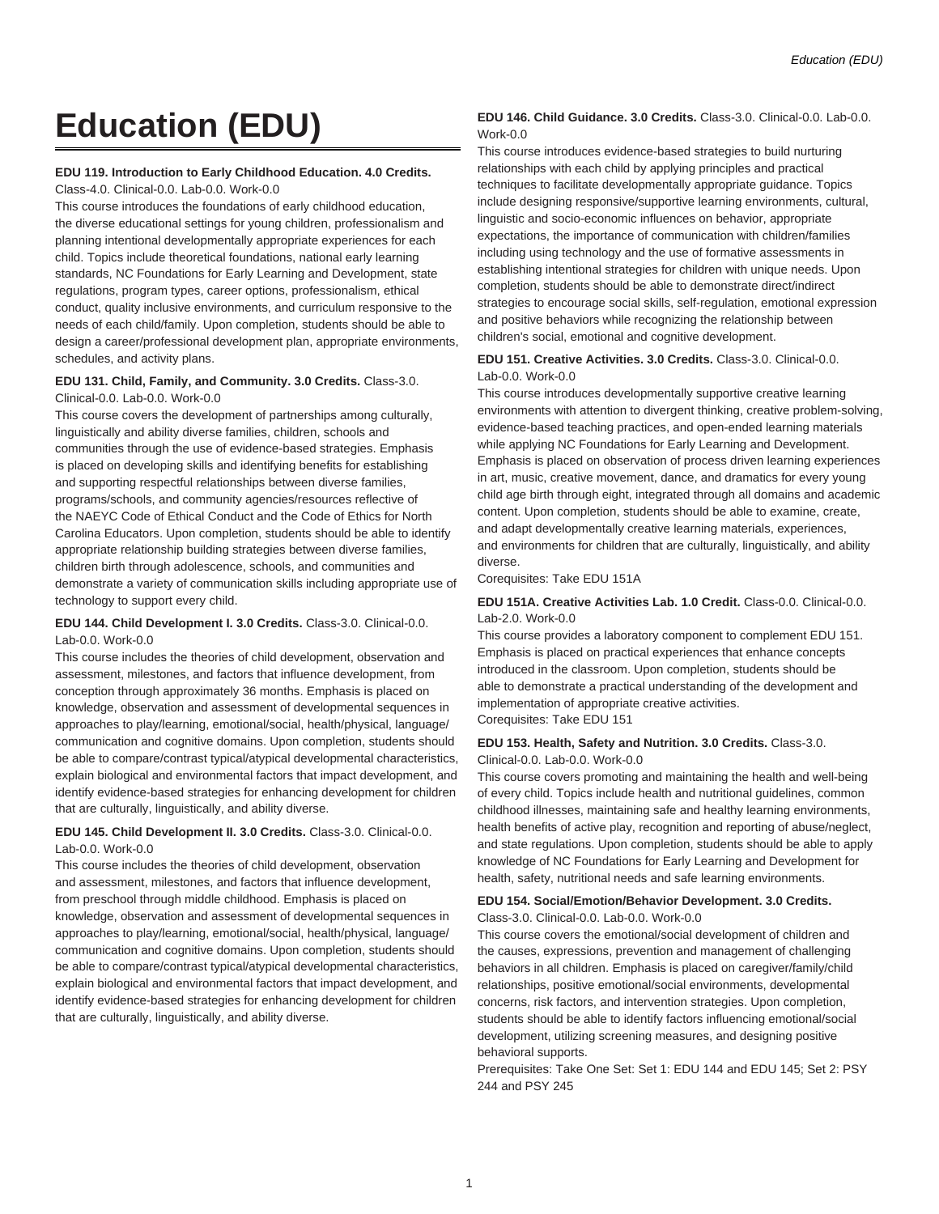# **Education (EDU)**

#### **EDU 119. Introduction to Early Childhood Education. 4.0 Credits.**

Class-4.0. Clinical-0.0. Lab-0.0. Work-0.0

This course introduces the foundations of early childhood education, the diverse educational settings for young children, professionalism and planning intentional developmentally appropriate experiences for each child. Topics include theoretical foundations, national early learning standards, NC Foundations for Early Learning and Development, state regulations, program types, career options, professionalism, ethical conduct, quality inclusive environments, and curriculum responsive to the needs of each child/family. Upon completion, students should be able to design a career/professional development plan, appropriate environments, schedules, and activity plans.

#### **EDU 131. Child, Family, and Community. 3.0 Credits.** Class-3.0. Clinical-0.0. Lab-0.0. Work-0.0

This course covers the development of partnerships among culturally, linguistically and ability diverse families, children, schools and communities through the use of evidence-based strategies. Emphasis is placed on developing skills and identifying benefits for establishing and supporting respectful relationships between diverse families, programs/schools, and community agencies/resources reflective of the NAEYC Code of Ethical Conduct and the Code of Ethics for North Carolina Educators. Upon completion, students should be able to identify appropriate relationship building strategies between diverse families, children birth through adolescence, schools, and communities and demonstrate a variety of communication skills including appropriate use of technology to support every child.

#### **EDU 144. Child Development I. 3.0 Credits.** Class-3.0. Clinical-0.0. Lab-0.0. Work-0.0

This course includes the theories of child development, observation and assessment, milestones, and factors that influence development, from conception through approximately 36 months. Emphasis is placed on knowledge, observation and assessment of developmental sequences in approaches to play/learning, emotional/social, health/physical, language/ communication and cognitive domains. Upon completion, students should be able to compare/contrast typical/atypical developmental characteristics, explain biological and environmental factors that impact development, and identify evidence-based strategies for enhancing development for children that are culturally, linguistically, and ability diverse.

# **EDU 145. Child Development II. 3.0 Credits.** Class-3.0. Clinical-0.0. Lab-0.0. Work-0.0

This course includes the theories of child development, observation and assessment, milestones, and factors that influence development, from preschool through middle childhood. Emphasis is placed on knowledge, observation and assessment of developmental sequences in approaches to play/learning, emotional/social, health/physical, language/ communication and cognitive domains. Upon completion, students should be able to compare/contrast typical/atypical developmental characteristics, explain biological and environmental factors that impact development, and identify evidence-based strategies for enhancing development for children that are culturally, linguistically, and ability diverse.

#### **EDU 146. Child Guidance. 3.0 Credits.** Class-3.0. Clinical-0.0. Lab-0.0. Work-0.0

This course introduces evidence-based strategies to build nurturing relationships with each child by applying principles and practical techniques to facilitate developmentally appropriate guidance. Topics include designing responsive/supportive learning environments, cultural, linguistic and socio-economic influences on behavior, appropriate expectations, the importance of communication with children/families including using technology and the use of formative assessments in establishing intentional strategies for children with unique needs. Upon completion, students should be able to demonstrate direct/indirect strategies to encourage social skills, self-regulation, emotional expression and positive behaviors while recognizing the relationship between children's social, emotional and cognitive development.

#### **EDU 151. Creative Activities. 3.0 Credits.** Class-3.0. Clinical-0.0. Lab-0.0. Work-0.0

This course introduces developmentally supportive creative learning environments with attention to divergent thinking, creative problem-solving, evidence-based teaching practices, and open-ended learning materials while applying NC Foundations for Early Learning and Development. Emphasis is placed on observation of process driven learning experiences in art, music, creative movement, dance, and dramatics for every young child age birth through eight, integrated through all domains and academic content. Upon completion, students should be able to examine, create, and adapt developmentally creative learning materials, experiences, and environments for children that are culturally, linguistically, and ability diverse.

Corequisites: Take EDU 151A

## **EDU 151A. Creative Activities Lab. 1.0 Credit.** Class-0.0. Clinical-0.0. Lab-2.0. Work-0.0

This course provides a laboratory component to complement EDU 151. Emphasis is placed on practical experiences that enhance concepts introduced in the classroom. Upon completion, students should be able to demonstrate a practical understanding of the development and implementation of appropriate creative activities. Corequisites: Take EDU 151

#### **EDU 153. Health, Safety and Nutrition. 3.0 Credits.** Class-3.0. Clinical-0.0. Lab-0.0. Work-0.0

This course covers promoting and maintaining the health and well-being of every child. Topics include health and nutritional guidelines, common childhood illnesses, maintaining safe and healthy learning environments, health benefits of active play, recognition and reporting of abuse/neglect, and state regulations. Upon completion, students should be able to apply knowledge of NC Foundations for Early Learning and Development for health, safety, nutritional needs and safe learning environments.

#### **EDU 154. Social/Emotion/Behavior Development. 3.0 Credits.** Class-3.0. Clinical-0.0. Lab-0.0. Work-0.0

This course covers the emotional/social development of children and the causes, expressions, prevention and management of challenging behaviors in all children. Emphasis is placed on caregiver/family/child relationships, positive emotional/social environments, developmental concerns, risk factors, and intervention strategies. Upon completion, students should be able to identify factors influencing emotional/social development, utilizing screening measures, and designing positive behavioral supports.

Prerequisites: Take One Set: Set 1: EDU 144 and EDU 145; Set 2: PSY 244 and PSY 245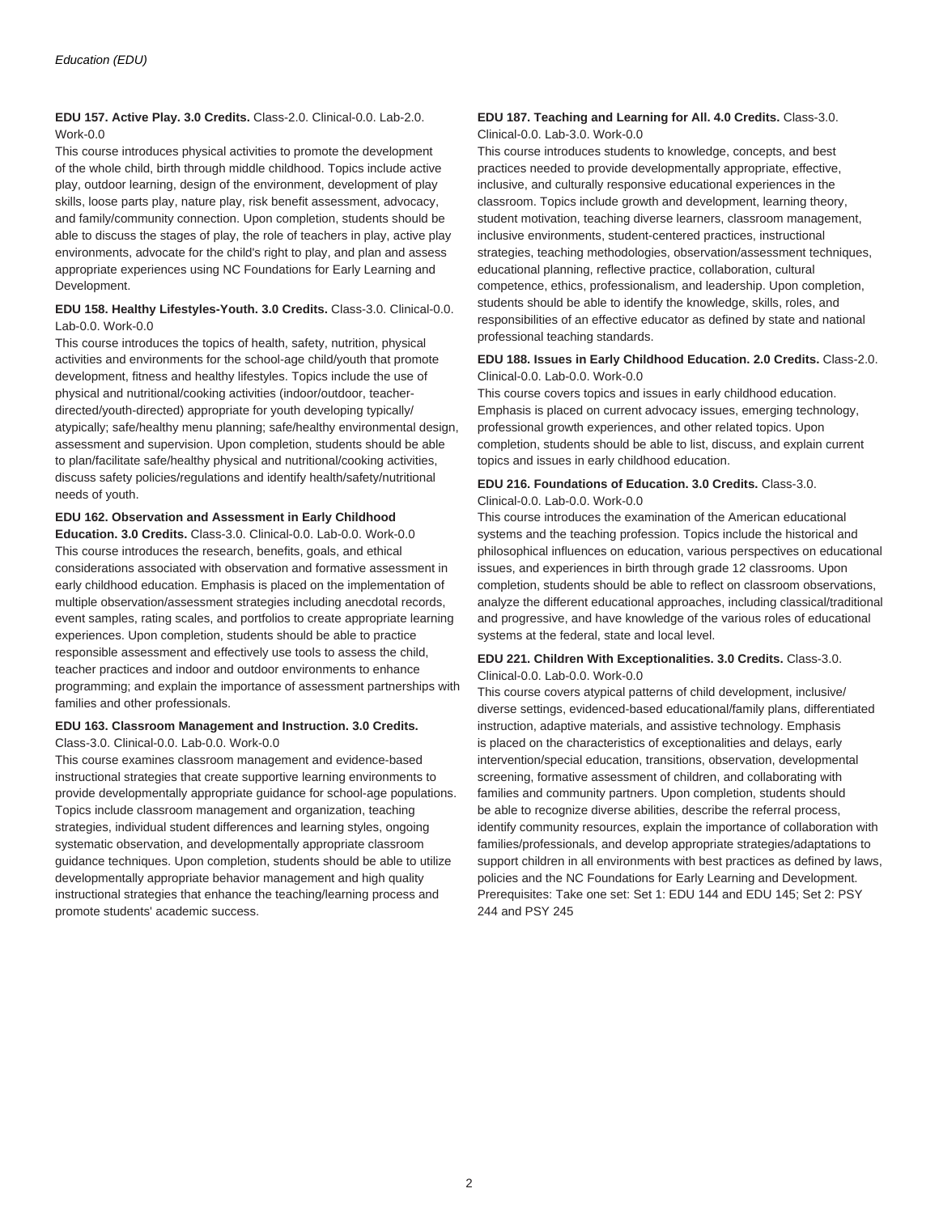## **EDU 157. Active Play. 3.0 Credits.** Class-2.0. Clinical-0.0. Lab-2.0. Work-0.0

This course introduces physical activities to promote the development of the whole child, birth through middle childhood. Topics include active play, outdoor learning, design of the environment, development of play skills, loose parts play, nature play, risk benefit assessment, advocacy, and family/community connection. Upon completion, students should be able to discuss the stages of play, the role of teachers in play, active play environments, advocate for the child's right to play, and plan and assess appropriate experiences using NC Foundations for Early Learning and Development.

# **EDU 158. Healthy Lifestyles-Youth. 3.0 Credits.** Class-3.0. Clinical-0.0. Lab-0.0. Work-0.0

This course introduces the topics of health, safety, nutrition, physical activities and environments for the school-age child/youth that promote development, fitness and healthy lifestyles. Topics include the use of physical and nutritional/cooking activities (indoor/outdoor, teacherdirected/youth-directed) appropriate for youth developing typically/ atypically; safe/healthy menu planning; safe/healthy environmental design, assessment and supervision. Upon completion, students should be able to plan/facilitate safe/healthy physical and nutritional/cooking activities, discuss safety policies/regulations and identify health/safety/nutritional needs of youth.

#### **EDU 162. Observation and Assessment in Early Childhood**

**Education. 3.0 Credits.** Class-3.0. Clinical-0.0. Lab-0.0. Work-0.0 This course introduces the research, benefits, goals, and ethical considerations associated with observation and formative assessment in early childhood education. Emphasis is placed on the implementation of multiple observation/assessment strategies including anecdotal records, event samples, rating scales, and portfolios to create appropriate learning experiences. Upon completion, students should be able to practice responsible assessment and effectively use tools to assess the child, teacher practices and indoor and outdoor environments to enhance programming; and explain the importance of assessment partnerships with families and other professionals.

# **EDU 163. Classroom Management and Instruction. 3.0 Credits.**

#### Class-3.0. Clinical-0.0. Lab-0.0. Work-0.0

This course examines classroom management and evidence-based instructional strategies that create supportive learning environments to provide developmentally appropriate guidance for school-age populations. Topics include classroom management and organization, teaching strategies, individual student differences and learning styles, ongoing systematic observation, and developmentally appropriate classroom guidance techniques. Upon completion, students should be able to utilize developmentally appropriate behavior management and high quality instructional strategies that enhance the teaching/learning process and promote students' academic success.

#### **EDU 187. Teaching and Learning for All. 4.0 Credits.** Class-3.0. Clinical-0.0. Lab-3.0. Work-0.0

This course introduces students to knowledge, concepts, and best practices needed to provide developmentally appropriate, effective, inclusive, and culturally responsive educational experiences in the classroom. Topics include growth and development, learning theory, student motivation, teaching diverse learners, classroom management, inclusive environments, student-centered practices, instructional strategies, teaching methodologies, observation/assessment techniques, educational planning, reflective practice, collaboration, cultural competence, ethics, professionalism, and leadership. Upon completion, students should be able to identify the knowledge, skills, roles, and responsibilities of an effective educator as defined by state and national professional teaching standards.

#### **EDU 188. Issues in Early Childhood Education. 2.0 Credits.** Class-2.0. Clinical-0.0. Lab-0.0. Work-0.0

This course covers topics and issues in early childhood education. Emphasis is placed on current advocacy issues, emerging technology, professional growth experiences, and other related topics. Upon completion, students should be able to list, discuss, and explain current topics and issues in early childhood education.

#### **EDU 216. Foundations of Education. 3.0 Credits.** Class-3.0. Clinical-0.0. Lab-0.0. Work-0.0

This course introduces the examination of the American educational systems and the teaching profession. Topics include the historical and philosophical influences on education, various perspectives on educational issues, and experiences in birth through grade 12 classrooms. Upon completion, students should be able to reflect on classroom observations, analyze the different educational approaches, including classical/traditional and progressive, and have knowledge of the various roles of educational systems at the federal, state and local level.

#### **EDU 221. Children With Exceptionalities. 3.0 Credits.** Class-3.0. Clinical-0.0. Lab-0.0. Work-0.0

This course covers atypical patterns of child development, inclusive/ diverse settings, evidenced-based educational/family plans, differentiated instruction, adaptive materials, and assistive technology. Emphasis is placed on the characteristics of exceptionalities and delays, early intervention/special education, transitions, observation, developmental screening, formative assessment of children, and collaborating with families and community partners. Upon completion, students should be able to recognize diverse abilities, describe the referral process, identify community resources, explain the importance of collaboration with families/professionals, and develop appropriate strategies/adaptations to support children in all environments with best practices as defined by laws, policies and the NC Foundations for Early Learning and Development. Prerequisites: Take one set: Set 1: EDU 144 and EDU 145; Set 2: PSY 244 and PSY 245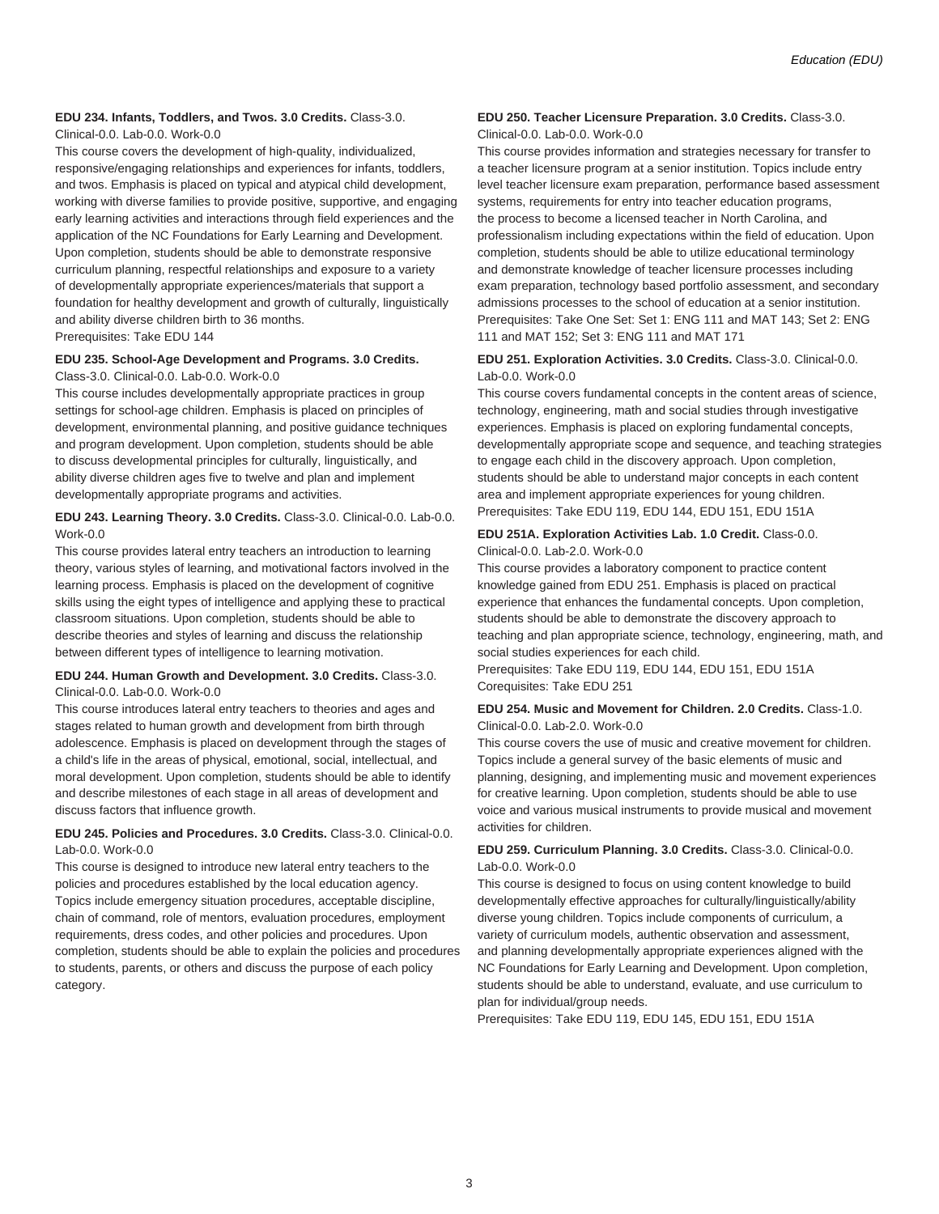# **EDU 234. Infants, Toddlers, and Twos. 3.0 Credits.** Class-3.0.

Clinical-0.0. Lab-0.0. Work-0.0

This course covers the development of high-quality, individualized, responsive/engaging relationships and experiences for infants, toddlers, and twos. Emphasis is placed on typical and atypical child development, working with diverse families to provide positive, supportive, and engaging early learning activities and interactions through field experiences and the application of the NC Foundations for Early Learning and Development. Upon completion, students should be able to demonstrate responsive curriculum planning, respectful relationships and exposure to a variety of developmentally appropriate experiences/materials that support a foundation for healthy development and growth of culturally, linguistically and ability diverse children birth to 36 months. Prerequisites: Take EDU 144

# **EDU 235. School-Age Development and Programs. 3.0 Credits.**

#### Class-3.0. Clinical-0.0. Lab-0.0. Work-0.0

This course includes developmentally appropriate practices in group settings for school-age children. Emphasis is placed on principles of development, environmental planning, and positive guidance techniques and program development. Upon completion, students should be able to discuss developmental principles for culturally, linguistically, and ability diverse children ages five to twelve and plan and implement developmentally appropriate programs and activities.

#### **EDU 243. Learning Theory. 3.0 Credits.** Class-3.0. Clinical-0.0. Lab-0.0. Work-0.0

This course provides lateral entry teachers an introduction to learning theory, various styles of learning, and motivational factors involved in the learning process. Emphasis is placed on the development of cognitive skills using the eight types of intelligence and applying these to practical classroom situations. Upon completion, students should be able to describe theories and styles of learning and discuss the relationship between different types of intelligence to learning motivation.

#### **EDU 244. Human Growth and Development. 3.0 Credits.** Class-3.0. Clinical-0.0. Lab-0.0. Work-0.0

This course introduces lateral entry teachers to theories and ages and stages related to human growth and development from birth through adolescence. Emphasis is placed on development through the stages of a child's life in the areas of physical, emotional, social, intellectual, and moral development. Upon completion, students should be able to identify and describe milestones of each stage in all areas of development and discuss factors that influence growth.

#### **EDU 245. Policies and Procedures. 3.0 Credits.** Class-3.0. Clinical-0.0. Lab-0.0. Work-0.0

This course is designed to introduce new lateral entry teachers to the policies and procedures established by the local education agency. Topics include emergency situation procedures, acceptable discipline, chain of command, role of mentors, evaluation procedures, employment requirements, dress codes, and other policies and procedures. Upon completion, students should be able to explain the policies and procedures to students, parents, or others and discuss the purpose of each policy category.

#### **EDU 250. Teacher Licensure Preparation. 3.0 Credits.** Class-3.0. Clinical-0.0. Lab-0.0. Work-0.0

This course provides information and strategies necessary for transfer to a teacher licensure program at a senior institution. Topics include entry level teacher licensure exam preparation, performance based assessment systems, requirements for entry into teacher education programs, the process to become a licensed teacher in North Carolina, and professionalism including expectations within the field of education. Upon completion, students should be able to utilize educational terminology and demonstrate knowledge of teacher licensure processes including exam preparation, technology based portfolio assessment, and secondary admissions processes to the school of education at a senior institution. Prerequisites: Take One Set: Set 1: ENG 111 and MAT 143; Set 2: ENG 111 and MAT 152; Set 3: ENG 111 and MAT 171

#### **EDU 251. Exploration Activities. 3.0 Credits.** Class-3.0. Clinical-0.0. Lab-0.0. Work-0.0

This course covers fundamental concepts in the content areas of science, technology, engineering, math and social studies through investigative experiences. Emphasis is placed on exploring fundamental concepts, developmentally appropriate scope and sequence, and teaching strategies to engage each child in the discovery approach. Upon completion, students should be able to understand major concepts in each content area and implement appropriate experiences for young children. Prerequisites: Take EDU 119, EDU 144, EDU 151, EDU 151A

#### **EDU 251A. Exploration Activities Lab. 1.0 Credit.** Class-0.0. Clinical-0.0. Lab-2.0. Work-0.0

This course provides a laboratory component to practice content knowledge gained from EDU 251. Emphasis is placed on practical experience that enhances the fundamental concepts. Upon completion, students should be able to demonstrate the discovery approach to teaching and plan appropriate science, technology, engineering, math, and social studies experiences for each child.

Prerequisites: Take EDU 119, EDU 144, EDU 151, EDU 151A Corequisites: Take EDU 251

#### **EDU 254. Music and Movement for Children. 2.0 Credits.** Class-1.0. Clinical-0.0. Lab-2.0. Work-0.0

This course covers the use of music and creative movement for children. Topics include a general survey of the basic elements of music and planning, designing, and implementing music and movement experiences for creative learning. Upon completion, students should be able to use voice and various musical instruments to provide musical and movement activities for children.

# **EDU 259. Curriculum Planning. 3.0 Credits.** Class-3.0. Clinical-0.0. Lab-0.0. Work-0.0

This course is designed to focus on using content knowledge to build developmentally effective approaches for culturally/linguistically/ability diverse young children. Topics include components of curriculum, a variety of curriculum models, authentic observation and assessment, and planning developmentally appropriate experiences aligned with the NC Foundations for Early Learning and Development. Upon completion, students should be able to understand, evaluate, and use curriculum to plan for individual/group needs.

Prerequisites: Take EDU 119, EDU 145, EDU 151, EDU 151A